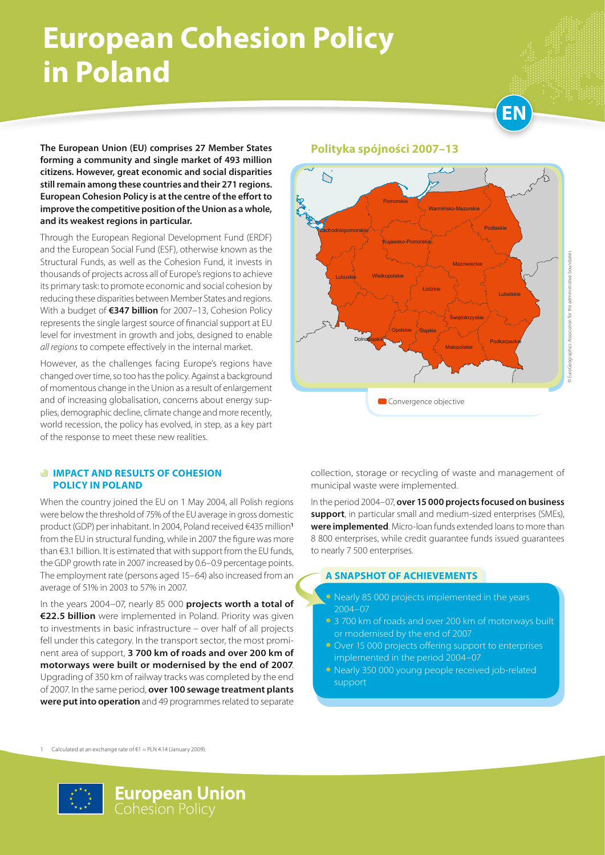## **European Cohesion Policy in Poland**

**EN**

**The European Union (EU) comprises 27 Member States forming a community and single market of 493 million citizens. However, great economic and social disparities still remain among these countries and their 271 regions. European Cohesion Policy is at the centre of the effort to improve the competitive position of the Union as a whole, and its weakest regions in particular.**

Through the European Regional Development Fund (ERDF) and the European Social Fund (ESF), otherwise known as the Structural Funds, as well as the Cohesion Fund, it invests in thousands of projects across all of Europe's regions to achieve its primary task: to promote economic and social cohesion by reducing these disparities between Member States and regions. With a budget of **€347 billion** for 2007–13, Cohesion Policy represents the single largest source of financial support at EU level for investment in growth and jobs, designed to enable *all regions* to compete effectively in the internal market.

However, as the challenges facing Europe's regions have changed over time, so too has the policy. Against a background of momentous change in the Union as a result of enlargement and of increasing globalisation, concerns about energy supplies, demographic decline, climate change and more recently, world recession, the policy has evolved, in step, as a key part of the response to meet these new realities.

### *<b>IMPACT AND RESULTS OF COHESION* **POLICY IN POLAND**

When the country joined the EU on 1 May 2004, all Polish regions were below the threshold of 75% of the EU average in gross domestic product (GDP) per inhabitant. In 2004, Poland received €435 million**<sup>1</sup>** from the EU in structural funding, while in 2007 the figure was more than €3.1 billion. It is estimated that with support from the EU funds, the GDP growth rate in 2007 increased by 0.6–0.9 percentage points. The employment rate (persons aged 15–64) also increased from an average of 51% in 2003 to 57% in 2007.

In the years 2004–07, nearly 85 000 **projects worth a total of €22.5 billion** were implemented in Poland. Priority was given to investments in basic infrastructure – over half of all projects fell under this category. In the transport sector, the most prominent area of support, **3 700 km of roads and over 200 km of motorways were built or modernised by the end of 2007**. Upgrading of 350 km of railway tracks was completed by the end of 2007. In the same period, **over 100 sewage treatment plants were put into operation** and 49 programmes related to separate

**Polityka spójności 2007–13**



collection, storage or recycling of waste and management of municipal waste were implemented.

In the period 2004–07, **over 15 000 projects focused on business support**, in particular small and medium-sized enterprises (SMEs), **were implemented**. Micro-loan funds extended loans to more than 8 800 enterprises, while credit guarantee funds issued guarantees to nearly 7 500 enterprises.

### **A SNAPSHOT OF ACHIEVEMENTS**

- Nearly 85 000 projects implemented in the years 2004–07
- 3 700 km of roads and over 200 km of motorways built or modernised by the end of 2007
- Over 15 000 projects offering support to enterprises implemented in the period 2004–07
- Nearly 350 000 young people received job-related support

1 Calculated at an exchange rate of €1 = PLN 4.14 (January 2009).

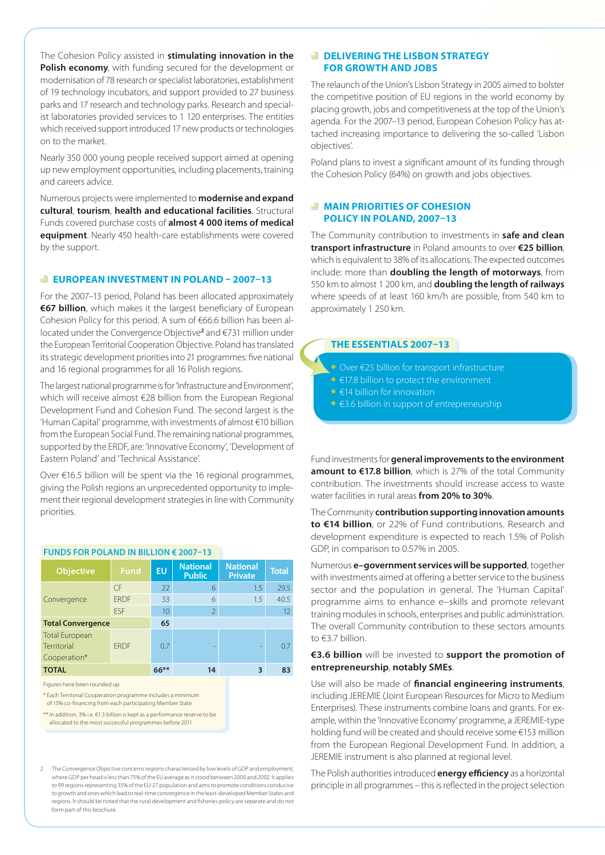The Cohesion Policy assisted in **stimulating innovation in the Polish economy**, with funding secured for the development or modernisation of 78 research or specialist laboratories, establishment of 19 technology incubators, and support provided to 27 business parks and 17 research and technology parks. Research and specialist laboratories provided services to 1 120 enterprises. The entities which received support introduced 17 new products or technologies on to the market.

Nearly 350 000 young people received support aimed at opening up new employment opportunities, including placements, training and careers advice.

Numerous projects were implemented to **modernise and expand cultural**, **tourism**, **health and educational facilities**. Structural Funds covered purchase costs of **almost 4 000 items of medical equipment**. Nearly 450 health-care establishments were covered by the support.

#### **EUROPEAN INVESTMENT IN POLAND – 2007–13**

For the 2007–13 period, Poland has been allocated approximately **€67 billion**, which makes it the largest beneficiary of European Cohesion Policy for this period. A sum of €66.6 billion has been allocated under the Convergence Objective**<sup>2</sup>** and €731 million under the European Territorial Cooperation Objective. Poland has translated its strategic development priorities into 21 programmes: five national and 16 regional programmes for all 16 Polish regions.

The largest national programme is for 'Infrastructure and Environment', which will receive almost €28 billion from the European Regional Development Fund and Cohesion Fund. The second largest is the 'Human Capital' programme, with investments of almost €10 billion from the European Social Fund. The remaining national programmes, supported by the ERDF, are: 'Innovative Economy', 'Development of Eastern Poland' and 'Technical Assistance'.

Over €16.5 billion will be spent via the 16 regional programmes, giving the Polish regions an unprecedented opportunity to implement their regional development strategies in line with Community priorities.

#### **Funds for Poland in billion € 2007–13**

| <b>Objective</b>                                     | Fund        | <b>EU</b> | <b>National</b><br><b>Public</b> | <b>National</b><br><b>Private</b> | <b>Total</b> |
|------------------------------------------------------|-------------|-----------|----------------------------------|-----------------------------------|--------------|
| Convergence                                          | CF          | 22        | 6                                | 1.5                               | 29.5         |
|                                                      | <b>FRDF</b> | 33        | 6                                | 1.5                               | 40.5         |
|                                                      | <b>FSF</b>  | 10        | $\overline{2}$                   |                                   | 12           |
| <b>Total Convergence</b>                             |             | 65        |                                  |                                   |              |
| <b>Total European</b><br>Territorial<br>Cooperation* | <b>FRDF</b> | 07        | -                                |                                   | 0.7          |
| <b>TOTAL</b>                                         |             | $66***$   | 14                               | 3                                 | 83           |

Figures have been rounded up

\* Each Territorial Cooperation programme includes a minimum

of 15% co-financing from each participating Member State.

\*\* In addition, 3% i.e. €1.3 billion is kept as a performance reserve to be

allocated to the most successful programmes before 2011.

2 The Convergence Objective concerns regions characterised by low levels of GDP and employment, where GDP per head is less than 75% of the EU average as it stood between 2000 and 2002. It applies to 99 regions representing 35% of the EU-27 population and aims to promote conditions conducive to growth and ones which lead to real-time convergence in the least-developed Member States and regions. It should be noted that the rural development and fisheries policy are separate and do not form part of this brochure.

### *DELIVERING THE LISBON STRATEGY* **FOR GROWTH AND JOBS**

The relaunch of the Union's Lisbon Strategy in 2005 aimed to bolster the competitive position of EU regions in the world economy by placing growth, jobs and competitiveness at the top of the Union's agenda. For the 2007–13 period, European Cohesion Policy has attached increasing importance to delivering the so-called 'Lisbon objectives'.

Poland plans to invest a significant amount of its funding through the Cohesion Policy (64%) on growth and jobs objectives.

### **MAIN PRIORITIES OF COHESION POLICY IN POLAND, 2007–13**

The Community contribution to investments in **safe and clean transport infrastructure** in Poland amounts to over **€25 billion**, which is equivalent to 38% of its allocations. The expected outcomes include: more than **doubling the length of motorways**, from 550 km to almost 1 200 km, and **doubling the length of railways** where speeds of at least 160 km/h are possible, from 540 km to approximately 1 250 km.

### **THE ESSENTIALS 2007–13**

- • Over €25 billion for transport infrastructure
- €17.8 billion to protect the environment
- €14 billion for innovation
- • €3.6 billion in support of entrepreneurship

Fund investments for **general improvements to the environment amount to €17.8 billion**, which is 27% of the total Community contribution. The investments should increase access to waste water facilities in rural areas **from 20% to 30%**.

The Community **contribution supporting innovation amounts to €14 billion**, or 22% of Fund contributions. Research and development expenditure is expected to reach 1.5% of Polish GDP, in comparison to 0.57% in 2005.

Numerous **e–government services will be supported**, together with investments aimed at offering a better service to the business sector and the population in general. The 'Human Capital' programme aims to enhance e–skills and promote relevant training modules in schools, enterprises and public administration. The overall Community contribution to these sectors amounts to €3.7 billion.

### **€3.6 billion** will be invested to **support the promotion of entrepreneurship**, **notably SMEs**.

Use will also be made of **financial engineering instruments**, including JEREMIE (Joint European Resources for Micro to Medium Enterprises). These instruments combine loans and grants. For example, within the 'Innovative Economy' programme, a JEREMIE-type holding fund will be created and should receive some €153 million from the European Regional Development Fund. In addition, a JEREMIE instrument is also planned at regional level.

The Polish authorities introduced **energy efficiency** as a horizontal principle in all programmes – this is reflected in the project selection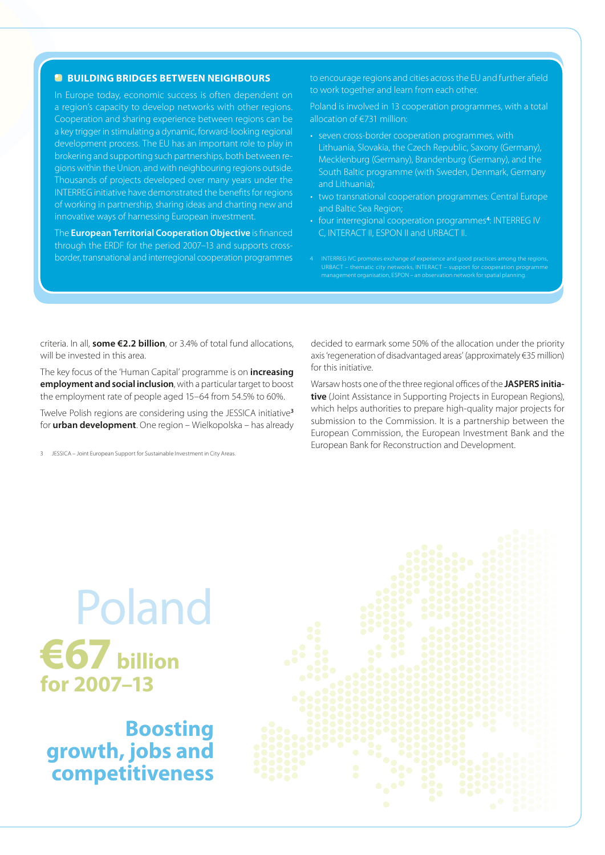### **BUILDING BRIDGES BETWEEN NEIGHBOURS**

In Europe today, economic success is often dependent on a region's capacity to develop networks with other regions. Cooperation and sharing experience between regions can be a key trigger in stimulating a dynamic, forward-looking regional development process. The EU has an important role to play in brokering and supporting such partnerships, both between regions within the Union, and with neighbouring regions outside. Thousands of projects developed over many years under the INTERREG initiative have demonstrated the benefits for regions of working in partnership, sharing ideas and charting new and innovative ways of harnessing European investment.

The **European Territorial Cooperation Objective** is financed through the ERDF for the period 2007–13 and supports crossborder, transnational and interregional cooperation programmes to encourage regions and cities across the EU and further afield to work together and learn from each other.

Poland is involved in 13 cooperation programmes, with a total allocation of €731 million:

- seven cross-border cooperation programmes, with Lithuania, Slovakia, the Czech Republic, Saxony (Germany), Mecklenburg (Germany), Brandenburg (Germany), and the South Baltic programme (with Sweden, Denmark, Germany and Lithuania);
- two transnational cooperation programmes: Central Europe and Baltic Sea Region;
- four interregional cooperation programmes<sup>4</sup>: INTERREG IV C, INTERACT II, ESPON II and URBACT II.
- 

criteria. In all, **some €2.2 billion**, or 3.4% of total fund allocations, will be invested in this area.

The key focus of the 'Human Capital' programme is on **increasing employment and social inclusion**, with a particular target to boost the employment rate of people aged 15–64 from 54.5% to 60%.

Twelve Polish regions are considering using the JESSICA initiative**<sup>3</sup>** for **urban development**. One region – Wielkopolska – has already

JESSICA – Joint European Support for Sustainable Investment in City Areas.

decided to earmark some 50% of the allocation under the priority axis 'regeneration of disadvantaged areas' (approximately €35 million) for this initiative.

Warsaw hosts one of the three regional offices of the **JASPERS initiative** (Joint Assistance in Supporting Projects in European Regions), which helps authorities to prepare high-quality major projects for submission to the Commission. It is a partnership between the European Commission, the European Investment Bank and the European Bank for Reconstruction and Development.

# Poland **€67 billion for 2007–13**

**Boosting growth, jobs and competitiveness**